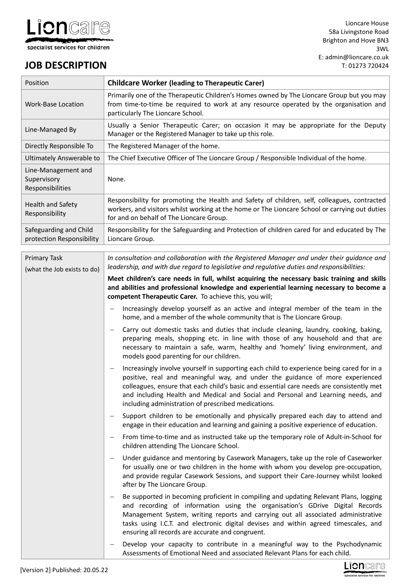

# **JOB DESCRIPTION**

| Position                                               | <b>Childcare Worker (leading to Therapeutic Carer)</b>                                                                                                                                                                                                                                                                                                                                                                                 |  |  |
|--------------------------------------------------------|----------------------------------------------------------------------------------------------------------------------------------------------------------------------------------------------------------------------------------------------------------------------------------------------------------------------------------------------------------------------------------------------------------------------------------------|--|--|
| <b>Work-Base Location</b>                              | Primarily one of the Therapeutic Children's Homes owned by The Lioncare Group but you may<br>from time-to-time be required to work at any resource operated by the organisation and<br>particularly The Lioncare School.                                                                                                                                                                                                               |  |  |
| Line-Managed By                                        | Usually a Senior Therapeutic Carer; on occasion it may be appropriate for the Deputy<br>Manager or the Registered Manager to take up this role.                                                                                                                                                                                                                                                                                        |  |  |
| Directly Responsible To                                | The Registered Manager of the home.                                                                                                                                                                                                                                                                                                                                                                                                    |  |  |
| <b>Ultimately Answerable to</b>                        | The Chief Executive Officer of The Lioncare Group / Responsible Individual of the home.                                                                                                                                                                                                                                                                                                                                                |  |  |
| Line-Management and<br>Supervisory<br>Responsibilities | None.                                                                                                                                                                                                                                                                                                                                                                                                                                  |  |  |
| <b>Health and Safety</b><br>Responsibility             | Responsibility for promoting the Health and Safety of children, self, colleagues, contracted<br>workers, and visitors whilst working at the home or The Lioncare School or carrying out duties<br>for and on behalf of The Lioncare Group.                                                                                                                                                                                             |  |  |
| Safeguarding and Child<br>protection Responsibility    | Responsibility for the Safeguarding and Protection of children cared for and educated by The<br>Lioncare Group.                                                                                                                                                                                                                                                                                                                        |  |  |
| <b>Primary Task</b><br>(what the Job exists to do)     | In consultation and collaboration with the Registered Manager and under their guidance and<br>leadership, and with due regard to legislative and regulative duties and responsibilities:                                                                                                                                                                                                                                               |  |  |
|                                                        | Meet children's care needs in full, whilst acquiring the necessary basic training and skills<br>and abilities and professional knowledge and experiential learning necessary to become a<br>competent Therapeutic Carer. To achieve this, you will;                                                                                                                                                                                    |  |  |
|                                                        | Increasingly develop yourself as an active and integral member of the team in the<br>$\qquad \qquad -$<br>home, and a member of the whole community that is The Lioncare Group.                                                                                                                                                                                                                                                        |  |  |
|                                                        | Carry out domestic tasks and duties that include cleaning, laundry, cooking, baking,<br>$\qquad \qquad -$<br>preparing meals, shopping etc. in line with those of any household and that are<br>necessary to maintain a safe, warm, healthy and 'homely' living environment, and<br>models good parenting for our children.                                                                                                            |  |  |
|                                                        | Increasingly involve yourself in supporting each child to experience being cared for in a<br>$\qquad \qquad -$<br>positive, real and meaningful way, and under the guidance of more experienced<br>colleagues, ensure that each child's basic and essential care needs are consistently met<br>and including Health and Medical and Social and Personal and Learning needs, and<br>including administration of prescribed medications. |  |  |
|                                                        | Support children to be emotionally and physically prepared each day to attend and<br>$\overline{\phantom{m}}$<br>engage in their education and learning and gaining a positive experience of education.                                                                                                                                                                                                                                |  |  |
|                                                        | From time-to-time and as instructed take up the temporary role of Adult-in-School for<br>$\qquad \qquad -$<br>children attending The Lioncare School.                                                                                                                                                                                                                                                                                  |  |  |
|                                                        | Under guidance and mentoring by Casework Managers, take up the role of Caseworker<br>$\overline{\phantom{m}}$<br>for usually one or two children in the home with whom you develop pre-occupation,<br>and provide regular Casework Sessions, and support their Care-Journey whilst looked<br>after by The Lioncare Group.                                                                                                              |  |  |
|                                                        | Be supported in becoming proficient in compiling and updating Relevant Plans, logging<br>$\overline{\phantom{m}}$<br>and recording of information using the organisation's GDrive Digital Records<br>Management System, writing reports and carrying out all associated administrative<br>tasks using I.C.T. and electronic digital devises and within agreed timescales, and<br>ensuring all records are accurate and congruent.      |  |  |
|                                                        | Develop your capacity to contribute in a meaningful way to the Psychodynamic<br>$\qquad \qquad -$<br>Assessments of Emotional Need and associated Relevant Plans for each child.                                                                                                                                                                                                                                                       |  |  |

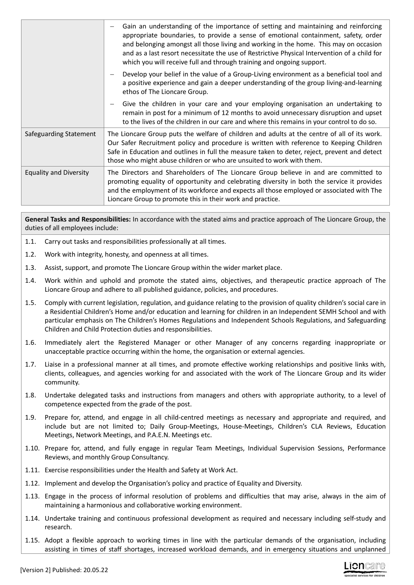|                               | Gain an understanding of the importance of setting and maintaining and reinforcing<br>appropriate boundaries, to provide a sense of emotional containment, safety, order<br>and belonging amongst all those living and working in the home. This may on occasion<br>and as a last resort necessitate the use of Restrictive Physical Intervention of a child for<br>which you will receive full and through training and ongoing support. |
|-------------------------------|-------------------------------------------------------------------------------------------------------------------------------------------------------------------------------------------------------------------------------------------------------------------------------------------------------------------------------------------------------------------------------------------------------------------------------------------|
|                               | Develop your belief in the value of a Group-Living environment as a beneficial tool and<br>a positive experience and gain a deeper understanding of the group living-and-learning<br>ethos of The Lioncare Group.                                                                                                                                                                                                                         |
|                               | Give the children in your care and your employing organisation an undertaking to<br>remain in post for a minimum of 12 months to avoid unnecessary disruption and upset<br>to the lives of the children in our care and where this remains in your control to do so.                                                                                                                                                                      |
| Safeguarding Statement        | The Lioncare Group puts the welfare of children and adults at the centre of all of its work.<br>Our Safer Recruitment policy and procedure is written with reference to Keeping Children<br>Safe in Education and outlines in full the measure taken to deter, reject, prevent and detect<br>those who might abuse children or who are unsuited to work with them.                                                                        |
| <b>Equality and Diversity</b> | The Directors and Shareholders of The Lioncare Group believe in and are committed to<br>promoting equality of opportunity and celebrating diversity in both the service it provides<br>and the employment of its workforce and expects all those employed or associated with The<br>Lioncare Group to promote this in their work and practice.                                                                                            |

**General Tasks and Responsibilities:** In accordance with the stated aims and practice approach of The Lioncare Group, the duties of all employees include:

- 1.1. Carry out tasks and responsibilities professionally at all times.
- 1.2. Work with integrity, honesty, and openness at all times.
- 1.3. Assist, support, and promote The Lioncare Group within the wider market place.
- 1.4. Work within and uphold and promote the stated aims, objectives, and therapeutic practice approach of The Lioncare Group and adhere to all published guidance, policies, and procedures.
- 1.5. Comply with current legislation, regulation, and guidance relating to the provision of quality children's social care in a Residential Children's Home and/or education and learning for children in an Independent SEMH School and with particular emphasis on The Children's Homes Regulations and Independent Schools Regulations, and Safeguarding Children and Child Protection duties and responsibilities.
- 1.6. Immediately alert the Registered Manager or other Manager of any concerns regarding inappropriate or unacceptable practice occurring within the home, the organisation or external agencies.
- 1.7. Liaise in a professional manner at all times, and promote effective working relationships and positive links with, clients, colleagues, and agencies working for and associated with the work of The Lioncare Group and its wider community.
- 1.8. Undertake delegated tasks and instructions from managers and others with appropriate authority, to a level of competence expected from the grade of the post.
- 1.9. Prepare for, attend, and engage in all child-centred meetings as necessary and appropriate and required, and include but are not limited to; Daily Group-Meetings, House-Meetings, Children's CLA Reviews, Education Meetings, Network Meetings, and P.A.E.N. Meetings etc.
- 1.10. Prepare for, attend, and fully engage in regular Team Meetings, Individual Supervision Sessions, Performance Reviews, and monthly Group Consultancy.
- 1.11. Exercise responsibilities under the Health and Safety at Work Act.
- 1.12. Implement and develop the Organisation's policy and practice of Equality and Diversity.
- 1.13. Engage in the process of informal resolution of problems and difficulties that may arise, always in the aim of maintaining a harmonious and collaborative working environment.
- 1.14. Undertake training and continuous professional development as required and necessary including self-study and research.
- 1.15. Adopt a flexible approach to working times in line with the particular demands of the organisation, including assisting in times of staff shortages, increased workload demands, and in emergency situations and unplanned

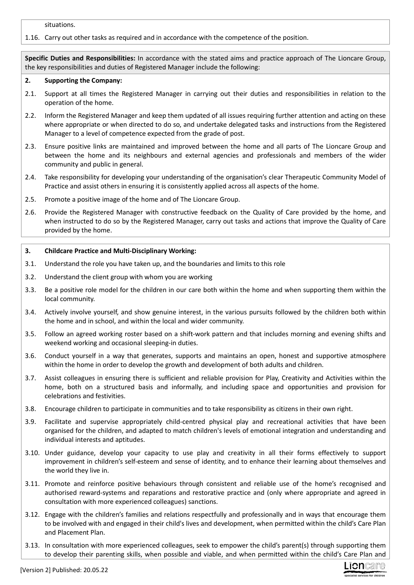situations.

### 1.16. Carry out other tasks as required and in accordance with the competence of the position.

**Specific Duties and Responsibilities:** In accordance with the stated aims and practice approach of The Lioncare Group, the key responsibilities and duties of Registered Manager include the following:

#### **2. Supporting the Company:**

- 2.1. Support at all times the Registered Manager in carrying out their duties and responsibilities in relation to the operation of the home.
- 2.2. Inform the Registered Manager and keep them updated of all issues requiring further attention and acting on these where appropriate or when directed to do so, and undertake delegated tasks and instructions from the Registered Manager to a level of competence expected from the grade of post.
- 2.3. Ensure positive links are maintained and improved between the home and all parts of The Lioncare Group and between the home and its neighbours and external agencies and professionals and members of the wider community and public in general.
- 2.4. Take responsibility for developing your understanding of the organisation's clear Therapeutic Community Model of Practice and assist others in ensuring it is consistently applied across all aspects of the home.
- 2.5. Promote a positive image of the home and of The Lioncare Group.
- 2.6. Provide the Registered Manager with constructive feedback on the Quality of Care provided by the home, and when instructed to do so by the Registered Manager, carry out tasks and actions that improve the Quality of Care provided by the home.

#### **3. Childcare Practice and Multi-Disciplinary Working:**

- 3.1. Understand the role you have taken up, and the boundaries and limits to this role
- 3.2. Understand the client group with whom you are working
- 3.3. Be a positive role model for the children in our care both within the home and when supporting them within the local community.
- 3.4. Actively involve yourself, and show genuine interest, in the various pursuits followed by the children both within the home and in school, and within the local and wider community.
- 3.5. Follow an agreed working roster based on a shift-work pattern and that includes morning and evening shifts and weekend working and occasional sleeping-in duties.
- 3.6. Conduct yourself in a way that generates, supports and maintains an open, honest and supportive atmosphere within the home in order to develop the growth and development of both adults and children.
- 3.7. Assist colleagues in ensuring there is sufficient and reliable provision for Play, Creativity and Activities within the home, both on a structured basis and informally, and including space and opportunities and provision for celebrations and festivities.
- 3.8. Encourage children to participate in communities and to take responsibility as citizens in their own right.
- 3.9. Facilitate and supervise appropriately child-centred physical play and recreational activities that have been organised for the children, and adapted to match children's levels of emotional integration and understanding and individual interests and aptitudes.
- 3.10. Under guidance, develop your capacity to use play and creativity in all their forms effectively to support improvement in children's self-esteem and sense of identity, and to enhance their learning about themselves and the world they live in.
- 3.11. Promote and reinforce positive behaviours through consistent and reliable use of the home's recognised and authorised reward-systems and reparations and restorative practice and (only where appropriate and agreed in consultation with more experienced colleagues) sanctions.
- 3.12. Engage with the children's families and relations respectfully and professionally and in ways that encourage them to be involved with and engaged in their child's lives and development, when permitted within the child's Care Plan and Placement Plan.
- 3.13. In consultation with more experienced colleagues, seek to empower the child's parent(s) through supporting them to develop their parenting skills, when possible and viable, and when permitted within the child's Care Plan and

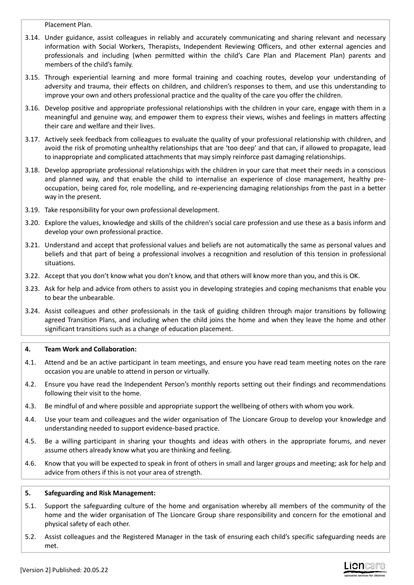Placement Plan.

- 3.14. Under guidance, assist colleagues in reliably and accurately communicating and sharing relevant and necessary information with Social Workers, Therapists, Independent Reviewing Officers, and other external agencies and professionals and including (when permitted within the child's Care Plan and Placement Plan) parents and members of the child's family.
- 3.15. Through experiential learning and more formal training and coaching routes, develop your understanding of adversity and trauma, their effects on children, and children's responses to them, and use this understanding to improve your own and others professional practice and the quality of the care you offer the children.
- 3.16. Develop positive and appropriate professional relationships with the children in your care, engage with them in a meaningful and genuine way, and empower them to express their views, wishes and feelings in matters affecting their care and welfare and their lives.
- 3.17. Actively seek feedback from colleagues to evaluate the quality of your professional relationship with children, and avoid the risk of promoting unhealthy relationships that are 'too deep' and that can, if allowed to propagate, lead to inappropriate and complicated attachments that may simply reinforce past damaging relationships.
- 3.18. Develop appropriate professional relationships with the children in your care that meet their needs in a conscious and planned way, and that enable the child to internalise an experience of close management, healthy preoccupation, being cared for, role modelling, and re-experiencing damaging relationships from the past in a better way in the present.
- 3.19. Take responsibility for your own professional development.
- 3.20. Explore the values, knowledge and skills of the children's social care profession and use these as a basis inform and develop your own professional practice.
- 3.21. Understand and accept that professional values and beliefs are not automatically the same as personal values and beliefs and that part of being a professional involves a recognition and resolution of this tension in professional situations.
- 3.22. Accept that you don't know what you don't know, and that others will know more than you, and this is OK.
- 3.23. Ask for help and advice from others to assist you in developing strategies and coping mechanisms that enable you to bear the unbearable.
- 3.24. Assist colleagues and other professionals in the task of guiding children through major transitions by following agreed Transition Plans, and including when the child joins the home and when they leave the home and other significant transitions such as a change of education placement.

# **4. Team Work and Collaboration:**

- 4.1. Attend and be an active participant in team meetings, and ensure you have read team meeting notes on the rare occasion you are unable to attend in person or virtually.
- 4.2. Ensure you have read the Independent Person's monthly reports setting out their findings and recommendations following their visit to the home.
- 4.3. Be mindful of and where possible and appropriate support the wellbeing of others with whom you work.
- 4.4. Use your team and colleagues and the wider organisation of The Lioncare Group to develop your knowledge and understanding needed to support evidence-based practice.
- 4.5. Be a willing participant in sharing your thoughts and ideas with others in the appropriate forums, and never assume others already know what you are thinking and feeling.
- 4.6. Know that you will be expected to speak in front of others in small and larger groups and meeting; ask for help and advice from others if this is not your area of strength.

### **5. Safeguarding and Risk Management:**

- 5.1. Support the safeguarding culture of the home and organisation whereby all members of the community of the home and the wider organisation of The Lioncare Group share responsibility and concern for the emotional and physical safety of each other.
- 5.2. Assist colleagues and the Registered Manager in the task of ensuring each child's specific safeguarding needs are met.

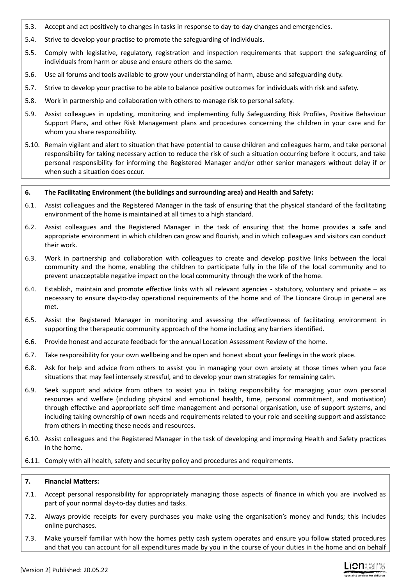- 5.3. Accept and act positively to changes in tasks in response to day-to-day changes and emergencies.
- 5.4. Strive to develop your practise to promote the safeguarding of individuals.
- 5.5. Comply with legislative, regulatory, registration and inspection requirements that support the safeguarding of individuals from harm or abuse and ensure others do the same.
- 5.6. Use all forums and tools available to grow your understanding of harm, abuse and safeguarding duty.
- 5.7. Strive to develop your practise to be able to balance positive outcomes for individuals with risk and safety.
- 5.8. Work in partnership and collaboration with others to manage risk to personal safety.
- 5.9. Assist colleagues in updating, monitoring and implementing fully Safeguarding Risk Profiles, Positive Behaviour Support Plans, and other Risk Management plans and procedures concerning the children in your care and for whom you share responsibility.
- 5.10. Remain vigilant and alert to situation that have potential to cause children and colleagues harm, and take personal responsibility for taking necessary action to reduce the risk of such a situation occurring before it occurs, and take personal responsibility for informing the Registered Manager and/or other senior managers without delay if or when such a situation does occur.

### **6. The Facilitating Environment (the buildings and surrounding area) and Health and Safety:**

- 6.1. Assist colleagues and the Registered Manager in the task of ensuring that the physical standard of the facilitating environment of the home is maintained at all times to a high standard.
- 6.2. Assist colleagues and the Registered Manager in the task of ensuring that the home provides a safe and appropriate environment in which children can grow and flourish, and in which colleagues and visitors can conduct their work.
- 6.3. Work in partnership and collaboration with colleagues to create and develop positive links between the local community and the home, enabling the children to participate fully in the life of the local community and to prevent unacceptable negative impact on the local community through the work of the home.
- 6.4. Establish, maintain and promote effective links with all relevant agencies statutory, voluntary and private as necessary to ensure day-to-day operational requirements of the home and of The Lioncare Group in general are met.
- 6.5. Assist the Registered Manager in monitoring and assessing the effectiveness of facilitating environment in supporting the therapeutic community approach of the home including any barriers identified.
- 6.6. Provide honest and accurate feedback for the annual Location Assessment Review of the home.
- 6.7. Take responsibility for your own wellbeing and be open and honest about your feelings in the work place.
- 6.8. Ask for help and advice from others to assist you in managing your own anxiety at those times when you face situations that may feel intensely stressful, and to develop your own strategies for remaining calm.
- 6.9. Seek support and advice from others to assist you in taking responsibility for managing your own personal resources and welfare (including physical and emotional health, time, personal commitment, and motivation) through effective and appropriate self-time management and personal organisation, use of support systems, and including taking ownership of own needs and requirements related to your role and seeking support and assistance from others in meeting these needs and resources.
- 6.10. Assist colleagues and the Registered Manager in the task of developing and improving Health and Safety practices in the home.
- 6.11. Comply with all health, safety and security policy and procedures and requirements.

### **7. Financial Matters:**

- 7.1. Accept personal responsibility for appropriately managing those aspects of finance in which you are involved as part of your normal day-to-day duties and tasks.
- 7.2. Always provide receipts for every purchases you make using the organisation's money and funds; this includes online purchases.
- 7.3. Make yourself familiar with how the homes petty cash system operates and ensure you follow stated procedures and that you can account for all expenditures made by you in the course of your duties in the home and on behalf

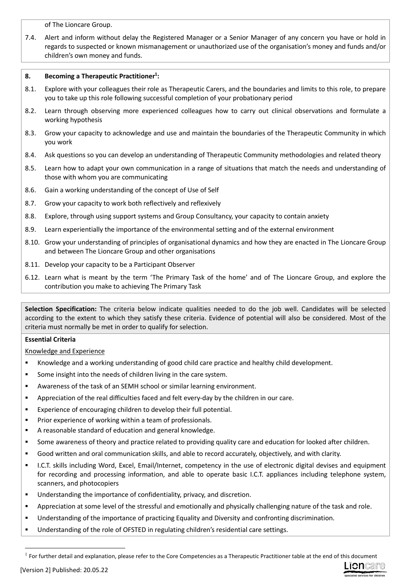of The Lioncare Group.

7.4. Alert and inform without delay the Registered Manager or a Senior Manager of any concern you have or hold in regards to suspected or known mismanagement or unauthorized use of the organisation's money and funds and/or children's own money and funds.

## **8. Becoming a Therapeutic Practitioner<sup>1</sup> :**

- 8.1. Explore with your colleagues their role as Therapeutic Carers, and the boundaries and limits to this role, to prepare you to take up this role following successful completion of your probationary period
- 8.2. Learn through observing more experienced colleagues how to carry out clinical observations and formulate a working hypothesis
- 8.3. Grow your capacity to acknowledge and use and maintain the boundaries of the Therapeutic Community in which you work
- 8.4. Ask questions so you can develop an understanding of Therapeutic Community methodologies and related theory
- 8.5. Learn how to adapt your own communication in a range of situations that match the needs and understanding of those with whom you are communicating
- 8.6. Gain a working understanding of the concept of Use of Self
- 8.7. Grow your capacity to work both reflectively and reflexively
- 8.8. Explore, through using support systems and Group Consultancy, your capacity to contain anxiety
- 8.9. Learn experientially the importance of the environmental setting and of the external environment
- 8.10. Grow your understanding of principles of organisational dynamics and how they are enacted in The Lioncare Group and between The Lioncare Group and other organisations
- 8.11. Develop your capacity to be a Participant Observer
- 6.12. Learn what is meant by the term 'The Primary Task of the home' and of The Lioncare Group, and explore the contribution you make to achieving The Primary Task

**Selection Specification:** The criteria below indicate qualities needed to do the job well. Candidates will be selected according to the extent to which they satisfy these criteria. Evidence of potential will also be considered. Most of the criteria must normally be met in order to qualify for selection.

# **Essential Criteria**

Knowledge and Experience

- Knowledge and a working understanding of good child care practice and healthy child development.
- Some insight into the needs of children living in the care system.
- Awareness of the task of an SEMH school or similar learning environment.
- Appreciation of the real difficulties faced and felt every-day by the children in our care.
- Experience of encouraging children to develop their full potential.
- Prior experience of working within a team of professionals.
- A reasonable standard of education and general knowledge.
- Some awareness of theory and practice related to providing quality care and education for looked after children.
- Good written and oral communication skills, and able to record accurately, objectively, and with clarity.
- I.C.T. skills including Word, Excel, Email/Internet, competency in the use of electronic digital devises and equipment for recording and processing information, and able to operate basic I.C.T. appliances including telephone system, scanners, and photocopiers
- Understanding the importance of confidentiality, privacy, and discretion.
- Appreciation at some level of the stressful and emotionally and physically challenging nature of the task and role.
- Understanding of the importance of practicing Equality and Diversity and confronting discrimination.
- Understanding of the role of OFSTED in regulating children's residential care settings.



 $<sup>1</sup>$  For further detail and explanation, please refer to the Core Competencies as a Therapeutic Practitioner table at the end of this document</sup>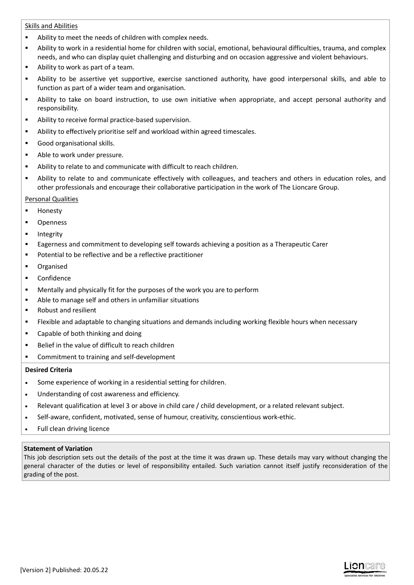### Skills and Abilities

- Ability to meet the needs of children with complex needs.
- Ability to work in a residential home for children with social, emotional, behavioural difficulties, trauma, and complex needs, and who can display quiet challenging and disturbing and on occasion aggressive and violent behaviours.
- Ability to work as part of a team.
- Ability to be assertive yet supportive, exercise sanctioned authority, have good interpersonal skills, and able to function as part of a wider team and organisation.
- Ability to take on board instruction, to use own initiative when appropriate, and accept personal authority and responsibility.
- Ability to receive formal practice-based supervision.
- Ability to effectively prioritise self and workload within agreed timescales.
- Good organisational skills.
- Able to work under pressure.
- Ability to relate to and communicate with difficult to reach children.
- Ability to relate to and communicate effectively with colleagues, and teachers and others in education roles, and other professionals and encourage their collaborative participation in the work of The Lioncare Group.

### Personal Qualities

- Honesty
- Openness
- Integrity
- Eagerness and commitment to developing self towards achieving a position as a Therapeutic Carer
- Potential to be reflective and be a reflective practitioner
- Organised
- **-** Confidence
- Mentally and physically fit for the purposes of the work you are to perform
- Able to manage self and others in unfamiliar situations
- Robust and resilient
- Flexible and adaptable to changing situations and demands including working flexible hours when necessary
- Capable of both thinking and doing
- Belief in the value of difficult to reach children
- Commitment to training and self-development

### **Desired Criteria**

- Some experience of working in a residential setting for children.
- Understanding of cost awareness and efficiency.
- Relevant qualification at level 3 or above in child care / child development, or a related relevant subject.
- Self-aware, confident, motivated, sense of humour, creativity, conscientious work-ethic.
- Full clean driving licence

### **Statement of Variation**

This job description sets out the details of the post at the time it was drawn up. These details may vary without changing the general character of the duties or level of responsibility entailed. Such variation cannot itself justify reconsideration of the grading of the post.